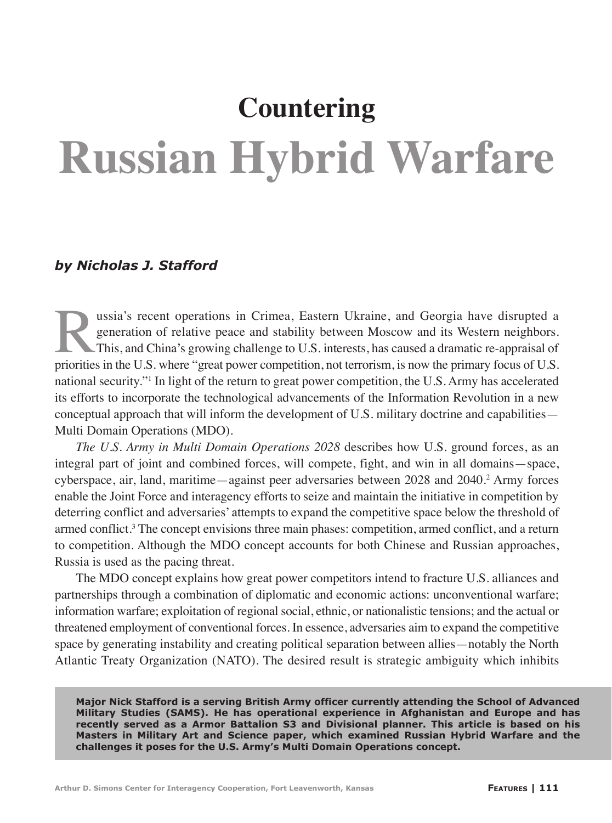# **Countering Russian Hybrid Warfare**

# *by Nicholas J. Stafford*

ussia's recent operations in Crimea, Eastern Ukraine, and Georgia have disrupted a generation of relative peace and stability between Moscow and its Western neighbors.<br>This, and China's growing challenge to U.S. interests, generation of relative peace and stability between Moscow and its Western neighbors. This, and China's growing challenge to U.S. interests, has caused a dramatic re-appraisal of priorities in the U.S. where "great power competition, not terrorism, is now the primary focus of U.S. national security."1 In light of the return to great power competition, the U.S. Army has accelerated its efforts to incorporate the technological advancements of the Information Revolution in a new conceptual approach that will inform the development of U.S. military doctrine and capabilities— Multi Domain Operations (MDO).

*The U.S. Army in Multi Domain Operations 2028* describes how U.S. ground forces, as an integral part of joint and combined forces, will compete, fight, and win in all domains—space, cyberspace, air, land, maritime—against peer adversaries between 2028 and 2040.<sup>2</sup> Army forces enable the Joint Force and interagency efforts to seize and maintain the initiative in competition by deterring conflict and adversaries' attempts to expand the competitive space below the threshold of armed conflict.<sup>3</sup> The concept envisions three main phases: competition, armed conflict, and a return to competition. Although the MDO concept accounts for both Chinese and Russian approaches, Russia is used as the pacing threat.

The MDO concept explains how great power competitors intend to fracture U.S. alliances and partnerships through a combination of diplomatic and economic actions: unconventional warfare; information warfare; exploitation of regional social, ethnic, or nationalistic tensions; and the actual or threatened employment of conventional forces. In essence, adversaries aim to expand the competitive space by generating instability and creating political separation between allies—notably the North Atlantic Treaty Organization (NATO). The desired result is strategic ambiguity which inhibits

**Major Nick Stafford is a serving British Army officer currently attending the School of Advanced Military Studies (SAMS). He has operational experience in Afghanistan and Europe and has recently served as a Armor Battalion S3 and Divisional planner. This article is based on his Masters in Military Art and Science paper, which examined Russian Hybrid Warfare and the challenges it poses for the U.S. Army's Multi Domain Operations concept.**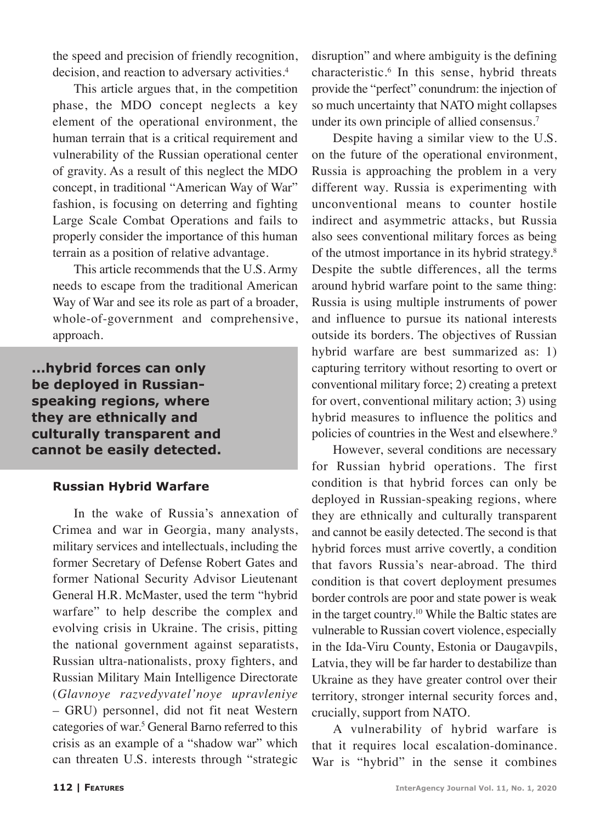the speed and precision of friendly recognition, decision, and reaction to adversary activities.<sup>4</sup>

This article argues that, in the competition phase, the MDO concept neglects a key element of the operational environment, the human terrain that is a critical requirement and vulnerability of the Russian operational center of gravity. As a result of this neglect the MDO concept, in traditional "American Way of War" fashion, is focusing on deterring and fighting Large Scale Combat Operations and fails to properly consider the importance of this human terrain as a position of relative advantage.

This article recommends that the U.S. Army needs to escape from the traditional American Way of War and see its role as part of a broader, whole-of-government and comprehensive, approach.

**...hybrid forces can only be deployed in Russianspeaking regions, where they are ethnically and culturally transparent and cannot be easily detected.**

### **Russian Hybrid Warfare**

In the wake of Russia's annexation of Crimea and war in Georgia, many analysts, military services and intellectuals, including the former Secretary of Defense Robert Gates and former National Security Advisor Lieutenant General H.R. McMaster, used the term "hybrid warfare" to help describe the complex and evolving crisis in Ukraine. The crisis, pitting the national government against separatists, Russian ultra-nationalists, proxy fighters, and Russian Military Main Intelligence Directorate (*Glavnoye razvedyvatel'noye upravleniye* – GRU) personnel, did not fit neat Western categories of war.<sup>5</sup> General Barno referred to this crisis as an example of a "shadow war" which can threaten U.S. interests through "strategic

disruption" and where ambiguity is the defining characteristic.6 In this sense, hybrid threats provide the "perfect" conundrum: the injection of so much uncertainty that NATO might collapses under its own principle of allied consensus.<sup>7</sup>

Despite having a similar view to the U.S. on the future of the operational environment, Russia is approaching the problem in a very different way. Russia is experimenting with unconventional means to counter hostile indirect and asymmetric attacks, but Russia also sees conventional military forces as being of the utmost importance in its hybrid strategy.8 Despite the subtle differences, all the terms around hybrid warfare point to the same thing: Russia is using multiple instruments of power and influence to pursue its national interests outside its borders. The objectives of Russian hybrid warfare are best summarized as: 1) capturing territory without resorting to overt or conventional military force; 2) creating a pretext for overt, conventional military action; 3) using hybrid measures to influence the politics and policies of countries in the West and elsewhere.<sup>9</sup>

However, several conditions are necessary for Russian hybrid operations. The first condition is that hybrid forces can only be deployed in Russian-speaking regions, where they are ethnically and culturally transparent and cannot be easily detected. The second is that hybrid forces must arrive covertly, a condition that favors Russia's near-abroad. The third condition is that covert deployment presumes border controls are poor and state power is weak in the target country.10 While the Baltic states are vulnerable to Russian covert violence, especially in the Ida-Viru County, Estonia or Daugavpils, Latvia, they will be far harder to destabilize than Ukraine as they have greater control over their territory, stronger internal security forces and, crucially, support from NATO.

A vulnerability of hybrid warfare is that it requires local escalation-dominance. War is "hybrid" in the sense it combines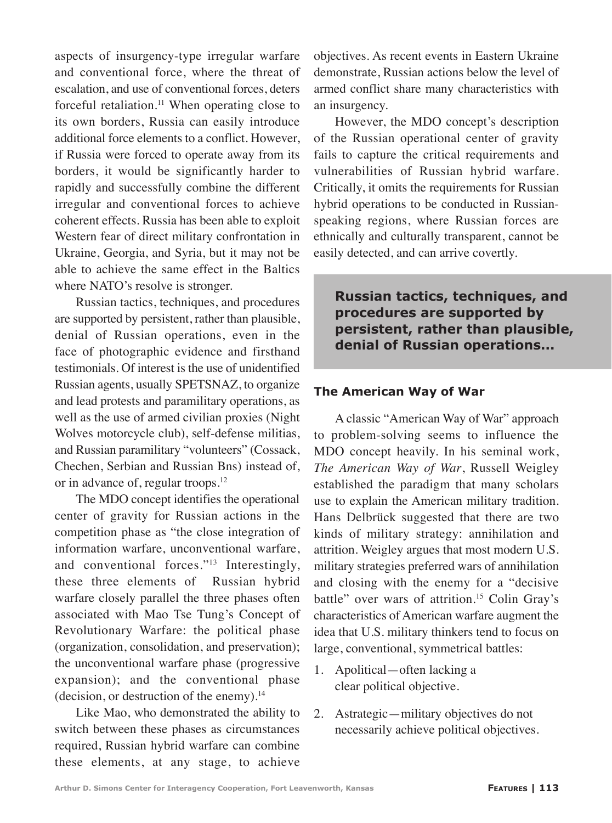aspects of insurgency-type irregular warfare and conventional force, where the threat of escalation, and use of conventional forces, deters forceful retaliation.<sup>11</sup> When operating close to its own borders, Russia can easily introduce additional force elements to a conflict. However, if Russia were forced to operate away from its borders, it would be significantly harder to rapidly and successfully combine the different irregular and conventional forces to achieve coherent effects. Russia has been able to exploit Western fear of direct military confrontation in Ukraine, Georgia, and Syria, but it may not be able to achieve the same effect in the Baltics where NATO's resolve is stronger.

Russian tactics, techniques, and procedures are supported by persistent, rather than plausible, denial of Russian operations, even in the face of photographic evidence and firsthand testimonials. Of interest is the use of unidentified Russian agents, usually SPETSNAZ, to organize and lead protests and paramilitary operations, as well as the use of armed civilian proxies (Night Wolves motorcycle club), self-defense militias, and Russian paramilitary "volunteers" (Cossack, Chechen, Serbian and Russian Bns) instead of, or in advance of, regular troops.<sup>12</sup>

The MDO concept identifies the operational center of gravity for Russian actions in the competition phase as "the close integration of information warfare, unconventional warfare, and conventional forces."<sup>13</sup> Interestingly, these three elements of Russian hybrid warfare closely parallel the three phases often associated with Mao Tse Tung's Concept of Revolutionary Warfare: the political phase (organization, consolidation, and preservation); the unconventional warfare phase (progressive expansion); and the conventional phase (decision, or destruction of the enemy).14

Like Mao, who demonstrated the ability to switch between these phases as circumstances required, Russian hybrid warfare can combine these elements, at any stage, to achieve

objectives. As recent events in Eastern Ukraine demonstrate, Russian actions below the level of armed conflict share many characteristics with an insurgency.

However, the MDO concept's description of the Russian operational center of gravity fails to capture the critical requirements and vulnerabilities of Russian hybrid warfare. Critically, it omits the requirements for Russian hybrid operations to be conducted in Russianspeaking regions, where Russian forces are ethnically and culturally transparent, cannot be easily detected, and can arrive covertly.

**Russian tactics, techniques, and procedures are supported by persistent, rather than plausible, denial of Russian operations...**

#### **The American Way of War**

A classic "American Way of War" approach to problem-solving seems to influence the MDO concept heavily. In his seminal work, *The American Way of War*, Russell Weigley established the paradigm that many scholars use to explain the American military tradition. Hans Delbrück suggested that there are two kinds of military strategy: annihilation and attrition. Weigley argues that most modern U.S. military strategies preferred wars of annihilation and closing with the enemy for a "decisive battle" over wars of attrition.<sup>15</sup> Colin Gray's characteristics of American warfare augment the idea that U.S. military thinkers tend to focus on large, conventional, symmetrical battles:

- 1. Apolitical—often lacking a clear political objective.
- 2. Astrategic—military objectives do not necessarily achieve political objectives.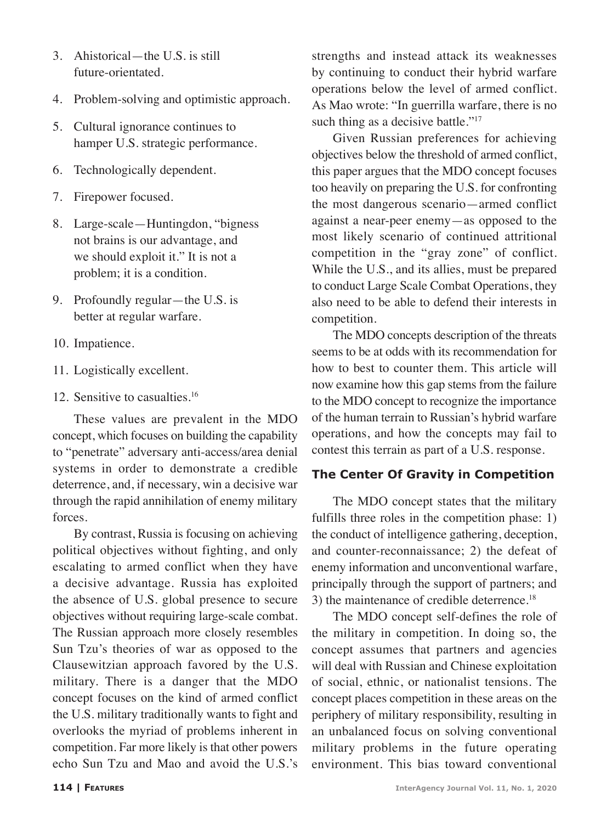- 3. Ahistorical—the U.S. is still future-orientated.
- 4. Problem-solving and optimistic approach.
- 5. Cultural ignorance continues to hamper U.S. strategic performance.
- 6. Technologically dependent.
- 7. Firepower focused.
- 8. Large-scale—Huntingdon, "bigness not brains is our advantage, and we should exploit it." It is not a problem; it is a condition.
- 9. Profoundly regular—the U.S. is better at regular warfare.
- 10. Impatience.
- 11. Logistically excellent.
- 12. Sensitive to casualties.<sup>16</sup>

These values are prevalent in the MDO concept, which focuses on building the capability to "penetrate" adversary anti-access/area denial systems in order to demonstrate a credible deterrence, and, if necessary, win a decisive war through the rapid annihilation of enemy military forces.

By contrast, Russia is focusing on achieving political objectives without fighting, and only escalating to armed conflict when they have a decisive advantage. Russia has exploited the absence of U.S. global presence to secure objectives without requiring large-scale combat. The Russian approach more closely resembles Sun Tzu's theories of war as opposed to the Clausewitzian approach favored by the U.S. military. There is a danger that the MDO concept focuses on the kind of armed conflict the U.S. military traditionally wants to fight and overlooks the myriad of problems inherent in competition. Far more likely is that other powers echo Sun Tzu and Mao and avoid the U.S.'s

strengths and instead attack its weaknesses by continuing to conduct their hybrid warfare operations below the level of armed conflict. As Mao wrote: "In guerrilla warfare, there is no such thing as a decisive battle."<sup>17</sup>

Given Russian preferences for achieving objectives below the threshold of armed conflict, this paper argues that the MDO concept focuses too heavily on preparing the U.S. for confronting the most dangerous scenario—armed conflict against a near-peer enemy—as opposed to the most likely scenario of continued attritional competition in the "gray zone" of conflict. While the U.S., and its allies, must be prepared to conduct Large Scale Combat Operations, they also need to be able to defend their interests in competition.

The MDO concepts description of the threats seems to be at odds with its recommendation for how to best to counter them. This article will now examine how this gap stems from the failure to the MDO concept to recognize the importance of the human terrain to Russian's hybrid warfare operations, and how the concepts may fail to contest this terrain as part of a U.S. response.

## **The Center Of Gravity in Competition**

The MDO concept states that the military fulfills three roles in the competition phase: 1) the conduct of intelligence gathering, deception, and counter-reconnaissance; 2) the defeat of enemy information and unconventional warfare, principally through the support of partners; and 3) the maintenance of credible deterrence.<sup>18</sup>

The MDO concept self-defines the role of the military in competition. In doing so, the concept assumes that partners and agencies will deal with Russian and Chinese exploitation of social, ethnic, or nationalist tensions. The concept places competition in these areas on the periphery of military responsibility, resulting in an unbalanced focus on solving conventional military problems in the future operating environment. This bias toward conventional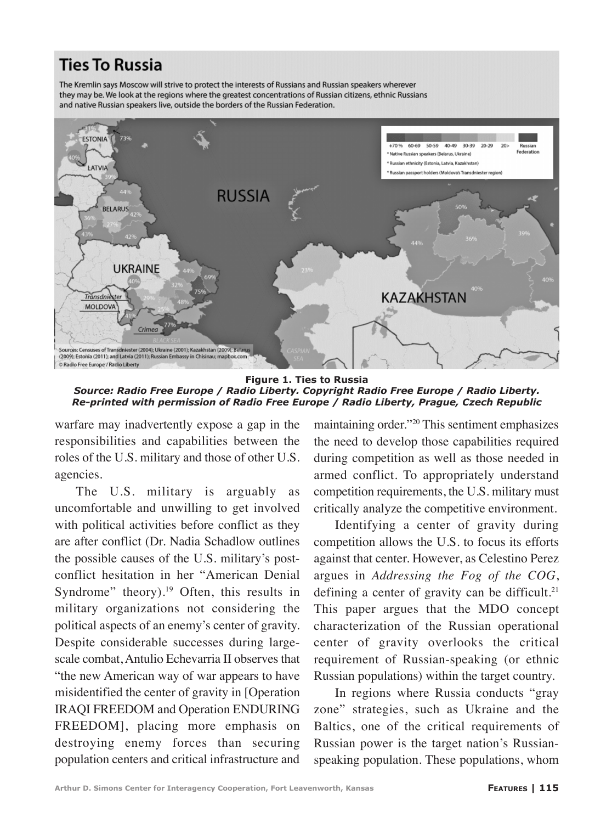# **Ties To Russia**

The Kremlin says Moscow will strive to protect the interests of Russians and Russian speakers wherever they may be. We look at the regions where the greatest concentrations of Russian citizens, ethnic Russians and native Russian speakers live, outside the borders of the Russian Federation.



**Figure 1. Ties to Russia**  *Source: Radio Free Europe / Radio Liberty. Copyright Radio Free Europe / Radio Liberty. Re-printed with permission of Radio Free Europe / Radio Liberty, Prague, Czech Republic*

warfare may inadvertently expose a gap in the responsibilities and capabilities between the roles of the U.S. military and those of other U.S. agencies.

The U.S. military is arguably as uncomfortable and unwilling to get involved with political activities before conflict as they are after conflict (Dr. Nadia Schadlow outlines the possible causes of the U.S. military's postconflict hesitation in her "American Denial Syndrome" theory). $19$  Often, this results in military organizations not considering the political aspects of an enemy's center of gravity. Despite considerable successes during largescale combat, Antulio Echevarria II observes that "the new American way of war appears to have misidentified the center of gravity in [Operation IRAQI FREEDOM and Operation ENDURING FREEDOM], placing more emphasis on destroying enemy forces than securing population centers and critical infrastructure and maintaining order."20 This sentiment emphasizes the need to develop those capabilities required during competition as well as those needed in armed conflict. To appropriately understand competition requirements, the U.S. military must critically analyze the competitive environment.

Identifying a center of gravity during competition allows the U.S. to focus its efforts against that center. However, as Celestino Perez argues in *Addressing the Fog of the COG*, defining a center of gravity can be difficult.<sup>21</sup> This paper argues that the MDO concept characterization of the Russian operational center of gravity overlooks the critical requirement of Russian-speaking (or ethnic Russian populations) within the target country.

In regions where Russia conducts "gray zone" strategies, such as Ukraine and the Baltics, one of the critical requirements of Russian power is the target nation's Russianspeaking population. These populations, whom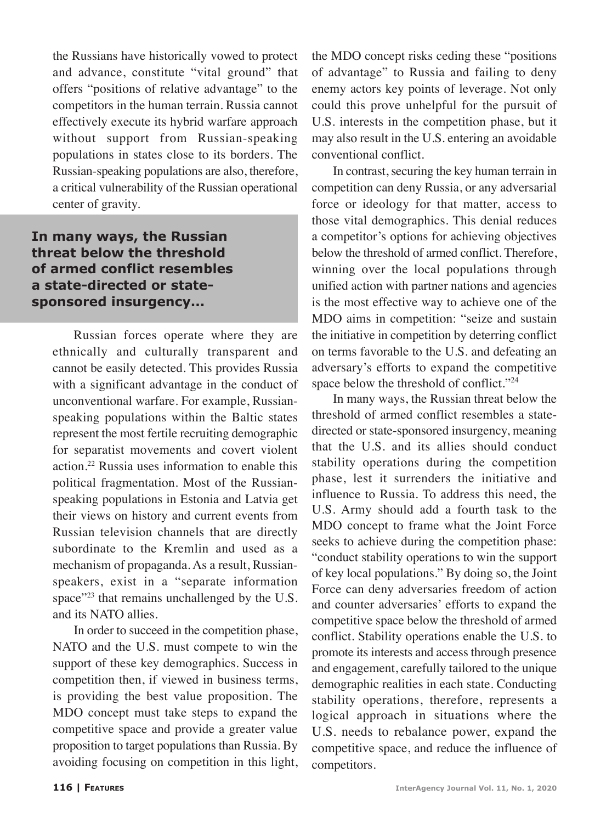the Russians have historically vowed to protect and advance, constitute "vital ground" that offers "positions of relative advantage" to the competitors in the human terrain. Russia cannot effectively execute its hybrid warfare approach without support from Russian-speaking populations in states close to its borders. The Russian-speaking populations are also, therefore, a critical vulnerability of the Russian operational center of gravity.

# **In many ways, the Russian threat below the threshold of armed conflict resembles a state-directed or statesponsored insurgency...**

Russian forces operate where they are ethnically and culturally transparent and cannot be easily detected. This provides Russia with a significant advantage in the conduct of unconventional warfare. For example, Russianspeaking populations within the Baltic states represent the most fertile recruiting demographic for separatist movements and covert violent action.22 Russia uses information to enable this political fragmentation. Most of the Russianspeaking populations in Estonia and Latvia get their views on history and current events from Russian television channels that are directly subordinate to the Kremlin and used as a mechanism of propaganda. As a result, Russianspeakers, exist in a "separate information space"<sup>23</sup> that remains unchallenged by the U.S. and its NATO allies.

In order to succeed in the competition phase, NATO and the U.S. must compete to win the support of these key demographics. Success in competition then, if viewed in business terms, is providing the best value proposition. The MDO concept must take steps to expand the competitive space and provide a greater value proposition to target populations than Russia. By avoiding focusing on competition in this light,

the MDO concept risks ceding these "positions of advantage" to Russia and failing to deny enemy actors key points of leverage. Not only could this prove unhelpful for the pursuit of U.S. interests in the competition phase, but it may also result in the U.S. entering an avoidable conventional conflict.

In contrast, securing the key human terrain in competition can deny Russia, or any adversarial force or ideology for that matter, access to those vital demographics. This denial reduces a competitor's options for achieving objectives below the threshold of armed conflict. Therefore, winning over the local populations through unified action with partner nations and agencies is the most effective way to achieve one of the MDO aims in competition: "seize and sustain the initiative in competition by deterring conflict on terms favorable to the U.S. and defeating an adversary's efforts to expand the competitive space below the threshold of conflict."<sup>24</sup>

In many ways, the Russian threat below the threshold of armed conflict resembles a statedirected or state-sponsored insurgency, meaning that the U.S. and its allies should conduct stability operations during the competition phase, lest it surrenders the initiative and influence to Russia. To address this need, the U.S. Army should add a fourth task to the MDO concept to frame what the Joint Force seeks to achieve during the competition phase: "conduct stability operations to win the support of key local populations." By doing so, the Joint Force can deny adversaries freedom of action and counter adversaries' efforts to expand the competitive space below the threshold of armed conflict. Stability operations enable the U.S. to promote its interests and access through presence and engagement, carefully tailored to the unique demographic realities in each state. Conducting stability operations, therefore, represents a logical approach in situations where the U.S. needs to rebalance power, expand the competitive space, and reduce the influence of competitors.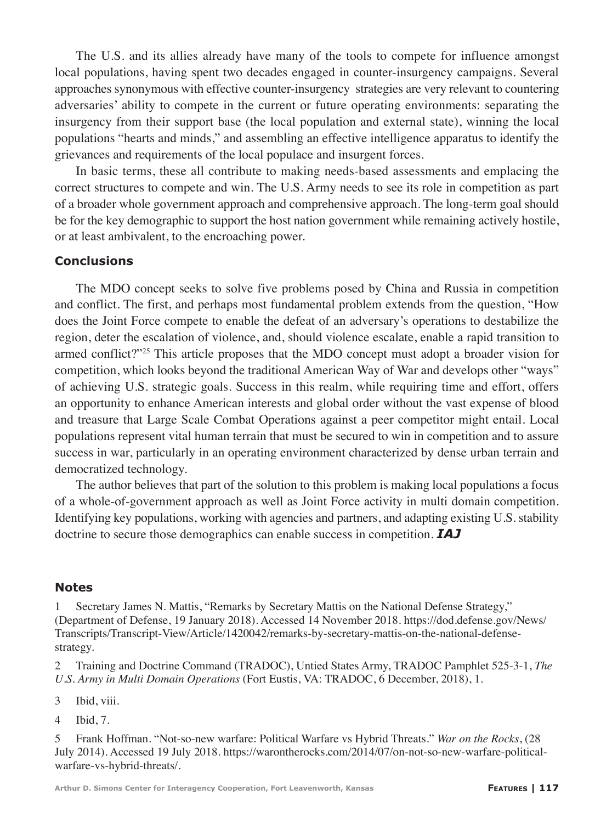The U.S. and its allies already have many of the tools to compete for influence amongst local populations, having spent two decades engaged in counter-insurgency campaigns. Several approaches synonymous with effective counter-insurgency strategies are very relevant to countering adversaries' ability to compete in the current or future operating environments: separating the insurgency from their support base (the local population and external state), winning the local populations "hearts and minds," and assembling an effective intelligence apparatus to identify the grievances and requirements of the local populace and insurgent forces.

In basic terms, these all contribute to making needs-based assessments and emplacing the correct structures to compete and win. The U.S. Army needs to see its role in competition as part of a broader whole government approach and comprehensive approach. The long-term goal should be for the key demographic to support the host nation government while remaining actively hostile, or at least ambivalent, to the encroaching power.

#### **Conclusions**

The MDO concept seeks to solve five problems posed by China and Russia in competition and conflict. The first, and perhaps most fundamental problem extends from the question, "How does the Joint Force compete to enable the defeat of an adversary's operations to destabilize the region, deter the escalation of violence, and, should violence escalate, enable a rapid transition to armed conflict?"<sup>25</sup> This article proposes that the MDO concept must adopt a broader vision for competition, which looks beyond the traditional American Way of War and develops other "ways" of achieving U.S. strategic goals. Success in this realm, while requiring time and effort, offers an opportunity to enhance American interests and global order without the vast expense of blood and treasure that Large Scale Combat Operations against a peer competitor might entail. Local populations represent vital human terrain that must be secured to win in competition and to assure success in war, particularly in an operating environment characterized by dense urban terrain and democratized technology.

The author believes that part of the solution to this problem is making local populations a focus of a whole-of-government approach as well as Joint Force activity in multi domain competition. Identifying key populations, working with agencies and partners, and adapting existing U.S. stability doctrine to secure those demographics can enable success in competition. *IAJ*

#### **Notes**

Secretary James N. Mattis, "Remarks by Secretary Mattis on the National Defense Strategy," (Department of Defense, 19 January 2018). Accessed 14 November 2018. https://dod.defense.gov/News/ Transcripts/Transcript-View/Article/1420042/remarks-by-secretary-mattis-on-the-national-defensestrategy.

2 Training and Doctrine Command (TRADOC), Untied States Army, TRADOC Pamphlet 525-3-1, *The U.S. Army in Multi Domain Operations* (Fort Eustis, VA: TRADOC, 6 December, 2018), 1.

3 Ibid, viii.

4 Ibid, 7.

5 Frank Hoffman. "Not-so-new warfare: Political Warfare vs Hybrid Threats." *War on the Rocks*, (28 July 2014). Accessed 19 July 2018. https://warontherocks.com/2014/07/on-not-so-new-warfare-politicalwarfare-vs-hybrid-threats/.